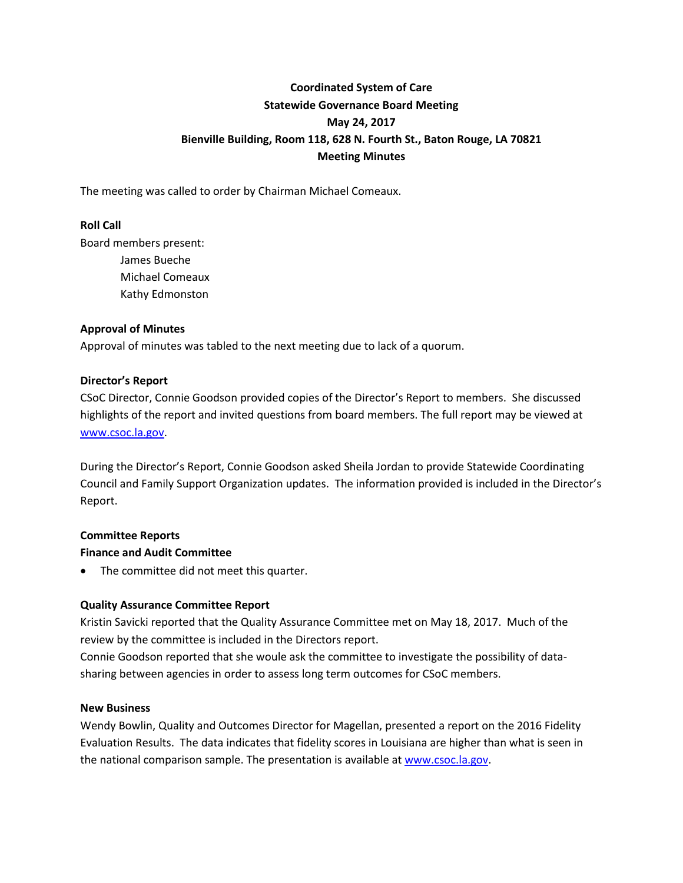# **Coordinated System of Care Statewide Governance Board Meeting May 24, 2017 Bienville Building, Room 118, 628 N. Fourth St., Baton Rouge, LA 70821 Meeting Minutes**

The meeting was called to order by Chairman Michael Comeaux.

### **Roll Call**

Board members present: James Bueche Michael Comeaux Kathy Edmonston

### **Approval of Minutes**

Approval of minutes was tabled to the next meeting due to lack of a quorum.

### **Director's Report**

CSoC Director, Connie Goodson provided copies of the Director's Report to members. She discussed highlights of the report and invited questions from board members. The full report may be viewed at [www.csoc.la.gov.](http://www.csoc.la.gov/)

During the Director's Report, Connie Goodson asked Sheila Jordan to provide Statewide Coordinating Council and Family Support Organization updates. The information provided is included in the Director's Report.

### **Committee Reports**

### **Finance and Audit Committee**

• The committee did not meet this quarter.

### **Quality Assurance Committee Report**

Kristin Savicki reported that the Quality Assurance Committee met on May 18, 2017. Much of the review by the committee is included in the Directors report.

Connie Goodson reported that she woule ask the committee to investigate the possibility of datasharing between agencies in order to assess long term outcomes for CSoC members.

#### **New Business**

Wendy Bowlin, Quality and Outcomes Director for Magellan, presented a report on the 2016 Fidelity Evaluation Results. The data indicates that fidelity scores in Louisiana are higher than what is seen in the national comparison sample. The presentation is available at [www.csoc.la.gov.](http://www.csoc.la.gov/)